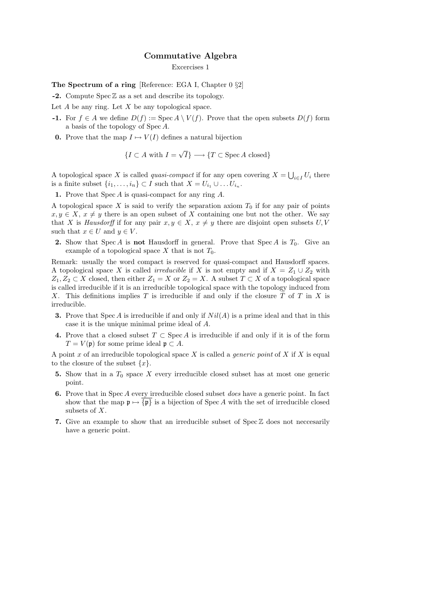## Commutative Algebra

Excercises 1

The Spectrum of a ring [Reference: EGA I, Chapter 0 §2]

 $-2.$  Compute Spec  $\mathbb Z$  as a set and describe its topology.

Let  $A$  be any ring. Let  $X$  be any topological space.

- **-1.** For  $f \in A$  we define  $D(f) := \text{Spec } A \setminus V(f)$ . Prove that the open subsets  $D(f)$  form a basis of the topology of Spec A.
- **0.** Prove that the map  $I \mapsto V(I)$  defines a natural bijection

 ${I \subset A \text{ with } I =$ √  $\{T\subset \operatorname{Spec} A \text{ closed}\}$ 

A topological space X is called *quasi-compact* if for any open covering  $X = \bigcup_{i \in I} U_i$  there is a finite subset  $\{i_1, \ldots, i_n\} \subset I$  such that  $X = U_{i_1} \cup \ldots U_{i_n}$ .

1. Prove that  $Spec A$  is quasi-compact for any ring  $A$ .

A topological space X is said to verify the separation axiom  $T_0$  if for any pair of points  $x, y \in X$ ,  $x \neq y$  there is an open subset of X containing one but not the other. We say that X is Hausdorff if for any pair  $x, y \in X$ ,  $x \neq y$  there are disjoint open subsets U, V such that  $x \in U$  and  $y \in V$ .

2. Show that Spec A is not Hausdorff in general. Prove that Spec A is  $T_0$ . Give an example of a topological space X that is not  $T_0$ .

Remark: usually the word compact is reserved for quasi-compact and Hausdorff spaces. A topological space X is called *irreducible* if X is not empty and if  $X = Z_1 \cup Z_2$  with  $Z_1, Z_2 \subset X$  closed, then either  $Z_1 = X$  or  $Z_2 = X$ . A subset  $T \subset X$  of a topological space is called irreducible if it is an irreducible topological space with the topology induced from X. This definitions implies T is irreducible if and only if the closure T of T in X is irreducible.

- **3.** Prove that Spec A is irreducible if and only if  $Nil(A)$  is a prime ideal and that in this case it is the unique minimal prime ideal of A.
- 4. Prove that a closed subset  $T \subset \operatorname{Spec} A$  is irreducible if and only if it is of the form  $T = V(\mathfrak{p})$  for some prime ideal  $\mathfrak{p} \subset A$ .

A point x of an irreducible topological space X is called a *generic point* of X if X is equal to the closure of the subset  $\{x\}.$ 

- 5. Show that in a  $T_0$  space X every irreducible closed subset has at most one generic point.
- 6. Prove that in Spec A every irreducible closed subset does have a generic point. In fact show that the map  $\mathfrak{p} \mapsto {\mathfrak{p}}\}$  is a bijection of Spec A with the set of irreducible closed subsets of X.
- 7. Give an example to show that an irreducible subset of  $Spec \mathbb{Z}$  does not neccesarily have a generic point.